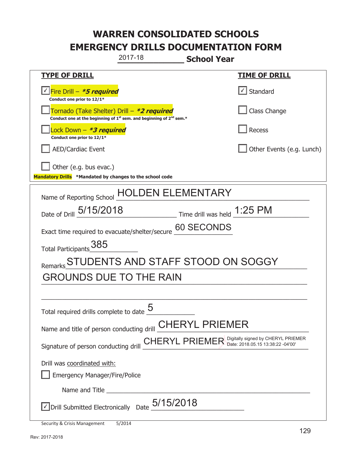|                                                                                                                             | 2017-18                           | <b>School Year</b>                                   |                           |
|-----------------------------------------------------------------------------------------------------------------------------|-----------------------------------|------------------------------------------------------|---------------------------|
| <u>TYPE OF DRILL</u>                                                                                                        |                                   |                                                      | <b>TIME OF DRILL</b>      |
| <u>√ Fire Drill – <i>*5 required</i></u><br>Conduct one prior to 12/1*                                                      |                                   |                                                      | √ Standard                |
| Tornado (Take Shelter) Drill – *2 required<br>Conduct one at the beginning of $1^{st}$ sem. and beginning of $2^{nd}$ sem.* |                                   |                                                      | Class Change              |
| ock Down – <b>*3 required</b><br>Conduct one prior to 12/1*                                                                 |                                   |                                                      | Recess                    |
| <b>AED/Cardiac Event</b>                                                                                                    |                                   |                                                      | Other Events (e.g. Lunch) |
| Other (e.g. bus evac.)<br>Mandatory Drills *Mandated by changes to the school code                                          |                                   |                                                      |                           |
| Name of Reporting School                                                                                                    |                                   | EN ELEMENTARY                                        |                           |
| Date of Drill 5/15/2018                                                                                                     |                                   | $\frac{1}{25}$ Time drill was held $\frac{1}{25}$ PM |                           |
| Exact time required to evacuate/shelter/secure                                                                              |                                   | 60 SECONDS                                           |                           |
| Total Participants 385                                                                                                      |                                   |                                                      |                           |
|                                                                                                                             | STUDENTS AND STAFF STOOD ON SOGGY |                                                      |                           |
| <b>GROUNDS DUE TO THE RAIN</b>                                                                                              |                                   |                                                      |                           |
|                                                                                                                             |                                   |                                                      |                           |
| Total required drills complete to date $\frac{0}{2}$                                                                        | ς                                 |                                                      |                           |
| Name and title of person conducting drill <b>CHERYL PRIEMER</b>                                                             |                                   |                                                      |                           |
| Signature of person conducting drill <b>CHERYL PRIEMER</b> Digitally signed by CHERYL PRIEMER                               |                                   |                                                      |                           |
| Drill was coordinated with:                                                                                                 |                                   |                                                      |                           |
| <b>Emergency Manager/Fire/Police</b>                                                                                        |                                   |                                                      |                           |
|                                                                                                                             |                                   |                                                      |                           |
| $\Box$ Drill Submitted Electronically Date $_05/15/2018$                                                                    |                                   |                                                      |                           |
| <b>Security &amp; Crisis Management</b>                                                                                     | 5/2014                            |                                                      |                           |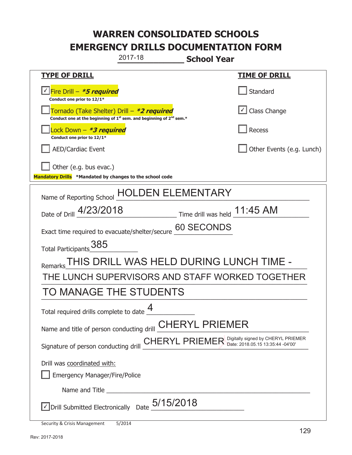|                                                                                                                                           | 2017-18<br><b>School Year</b>                                                                 |                           |  |
|-------------------------------------------------------------------------------------------------------------------------------------------|-----------------------------------------------------------------------------------------------|---------------------------|--|
| <u>TYPE OF DRILL</u>                                                                                                                      |                                                                                               | <b>TIME OF DRILL</b>      |  |
| V Fire Drill - *5 required<br>Conduct one prior to 12/1*                                                                                  |                                                                                               | Standard                  |  |
| Tornado (Take Shelter) Drill – *2 required<br>Conduct one at the beginning of 1 <sup>st</sup> sem. and beginning of 2 <sup>nd</sup> sem.* |                                                                                               | Class Change              |  |
| ock Down – <b>*3 required</b><br>Conduct one prior to 12/1*                                                                               |                                                                                               | <b>Recess</b>             |  |
| <b>AED/Cardiac Event</b>                                                                                                                  |                                                                                               | Other Events (e.g. Lunch) |  |
| Other (e.g. bus evac.)<br>Mandatory Drills *Mandated by changes to the school code                                                        |                                                                                               |                           |  |
| Name of Reporting School                                                                                                                  | <b>ELEMENTARY</b>                                                                             |                           |  |
| Date of Drill 4/23/2018                                                                                                                   | Time drill was held _11:45 AM                                                                 |                           |  |
| Exact time required to evacuate/shelter/secure                                                                                            | 60 SECONDS                                                                                    |                           |  |
| Total Participants 385                                                                                                                    |                                                                                               |                           |  |
| Remarks                                                                                                                                   | THIS DRILL WAS HELD DURING LUNCH TIME -                                                       |                           |  |
| THE LUNCH SUPERVISORS AND STAFF WORKED TOGETHER                                                                                           |                                                                                               |                           |  |
| TO MANAGE THE STUDENTS                                                                                                                    |                                                                                               |                           |  |
| Total required drills complete to date $\frac{4}{1}$                                                                                      | Δ                                                                                             |                           |  |
|                                                                                                                                           | Name and title of person conducting drill <b>CHERYL PRIEMER</b>                               |                           |  |
|                                                                                                                                           | Signature of person conducting drill <b>CHERYL PRIEMER</b> Digitally signed by CHERYL PRIEMER |                           |  |
| Drill was coordinated with:                                                                                                               |                                                                                               |                           |  |
| <b>Emergency Manager/Fire/Police</b>                                                                                                      |                                                                                               |                           |  |
|                                                                                                                                           |                                                                                               |                           |  |
| $\sqrt{2}$ Drill Submitted Electronically Date $_2$ 5/15/2018                                                                             |                                                                                               |                           |  |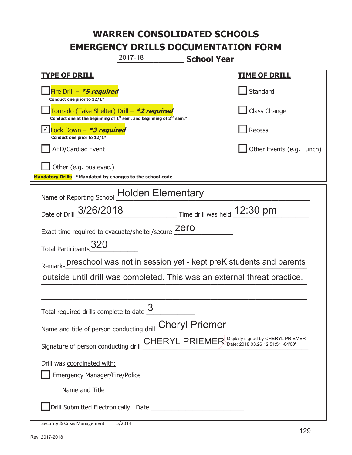|                                                                                                                             | 2017-18                                                                                                                                                                                                                              | <b>School Year</b>           |                                                                                        |
|-----------------------------------------------------------------------------------------------------------------------------|--------------------------------------------------------------------------------------------------------------------------------------------------------------------------------------------------------------------------------------|------------------------------|----------------------------------------------------------------------------------------|
| <u>TYPE OF DRILL</u>                                                                                                        |                                                                                                                                                                                                                                      |                              | <u>TIME OF DRILL</u>                                                                   |
| Fire Drill - *5 required<br>Conduct one prior to 12/1*                                                                      |                                                                                                                                                                                                                                      |                              | Standard                                                                               |
| Tornado (Take Shelter) Drill – *2 required<br>Conduct one at the beginning of $1^{st}$ sem. and beginning of $2^{nd}$ sem.* |                                                                                                                                                                                                                                      |                              | Class Change                                                                           |
| Lock Down - *3 required<br>Conduct one prior to 12/1*                                                                       |                                                                                                                                                                                                                                      |                              | <b>Recess</b>                                                                          |
| <b>AED/Cardiac Event</b>                                                                                                    |                                                                                                                                                                                                                                      |                              | Other Events (e.g. Lunch)                                                              |
| Other (e.g. bus evac.)<br>Mandatory Drills *Mandated by changes to the school code                                          |                                                                                                                                                                                                                                      |                              |                                                                                        |
| Name of Reporting School                                                                                                    | <b>Holden Elementary</b>                                                                                                                                                                                                             |                              |                                                                                        |
| Date of Drill 3/26/2018                                                                                                     |                                                                                                                                                                                                                                      | Time drill was held 12:30 pm |                                                                                        |
| Exact time required to evacuate/shelter/secure Zero                                                                         |                                                                                                                                                                                                                                      |                              |                                                                                        |
| 320<br><b>Total Participants</b>                                                                                            |                                                                                                                                                                                                                                      |                              |                                                                                        |
|                                                                                                                             |                                                                                                                                                                                                                                      |                              | Remarks preschool was not in session yet - kept preK students and parents              |
|                                                                                                                             |                                                                                                                                                                                                                                      |                              | outside until drill was completed. This was an external threat practice.               |
|                                                                                                                             |                                                                                                                                                                                                                                      |                              |                                                                                        |
| Total required drills complete to date <u>U</u>                                                                             | 3                                                                                                                                                                                                                                    |                              |                                                                                        |
| Name and title of person conducting drill Cheryl Priemer                                                                    |                                                                                                                                                                                                                                      |                              |                                                                                        |
|                                                                                                                             |                                                                                                                                                                                                                                      |                              | Signature of person conducting drill CHERYL PRIEMER Digitally signed by CHERYL PRIEMER |
| Drill was coordinated with:                                                                                                 |                                                                                                                                                                                                                                      |                              |                                                                                        |
| <b>Emergency Manager/Fire/Police</b>                                                                                        |                                                                                                                                                                                                                                      |                              |                                                                                        |
|                                                                                                                             | Name and Title <u>substitution and the series of the series of the series of the series of the series of the series of the series of the series of the series of the series of the series of the series of the series of the ser</u> |                              |                                                                                        |
|                                                                                                                             |                                                                                                                                                                                                                                      |                              |                                                                                        |
| Security & Crisis Management                                                                                                | 5/2014                                                                                                                                                                                                                               |                              |                                                                                        |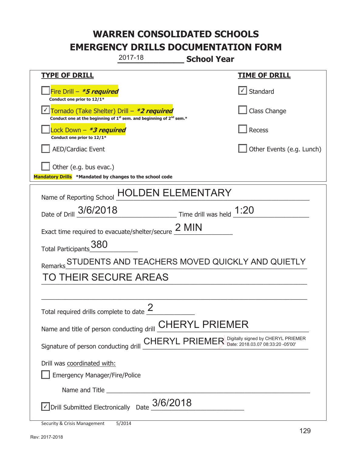|                                                                                    | 2017-18                                                                                     | <b>School Year</b>                                                                     |
|------------------------------------------------------------------------------------|---------------------------------------------------------------------------------------------|----------------------------------------------------------------------------------------|
| <b>TYPE OF DRILL</b>                                                               |                                                                                             | <b>TIME OF DRILL</b>                                                                   |
| Fire Drill - *5 required<br>Conduct one prior to 12/1*                             |                                                                                             | √ Standard                                                                             |
| Tornado (Take Shelter) Drill - *2 required                                         | Conduct one at the beginning of 1 <sup>st</sup> sem. and beginning of 2 <sup>nd</sup> sem.* | Class Change                                                                           |
| ock Down - *3 required<br>Conduct one prior to 12/1*                               |                                                                                             | Recess                                                                                 |
| <b>AED/Cardiac Event</b>                                                           |                                                                                             | Other Events (e.g. Lunch)                                                              |
| Other (e.g. bus evac.)<br>Mandatory Drills *Mandated by changes to the school code |                                                                                             |                                                                                        |
| Name of Reporting School                                                           |                                                                                             | DEN ELEMENTARY                                                                         |
| Date of Drill 3/6/2018                                                             |                                                                                             | ______________________ Time drill was held $\underline{\hspace{1cm}1:20}$              |
| Exact time required to evacuate/shelter/secure $2$ MIN                             |                                                                                             |                                                                                        |
| Total Participants 380                                                             |                                                                                             |                                                                                        |
| Remarks                                                                            |                                                                                             | STUDENTS AND TEACHERS MOVED QUICKLY AND QUIETLY                                        |
| TO THEIR SECURE AREAS                                                              |                                                                                             |                                                                                        |
|                                                                                    |                                                                                             |                                                                                        |
| Total required drills complete to date $\frac{2}{3}$                               |                                                                                             |                                                                                        |
| Name and title of person conducting drill CHERYL PRIEMER                           |                                                                                             |                                                                                        |
|                                                                                    |                                                                                             | Signature of person conducting drill CHERYL PRIEMER Digitally signed by CHERYL PRIEMER |
| Drill was coordinated with:                                                        |                                                                                             |                                                                                        |
| <b>Emergency Manager/Fire/Police</b>                                               |                                                                                             |                                                                                        |
|                                                                                    |                                                                                             |                                                                                        |
|                                                                                    | Drill Submitted Electronically Date $_03/6/2018$                                            |                                                                                        |
| Security & Crisis Management                                                       | 5/2014                                                                                      |                                                                                        |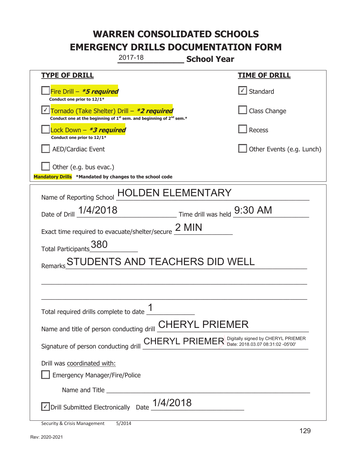|                                                                                                                       | 2017-18                                                                                                                                                                                                                              | <b>School Year</b>                                            |                           |
|-----------------------------------------------------------------------------------------------------------------------|--------------------------------------------------------------------------------------------------------------------------------------------------------------------------------------------------------------------------------------|---------------------------------------------------------------|---------------------------|
| <b>TYPE OF DRILL</b>                                                                                                  |                                                                                                                                                                                                                                      |                                                               | <b>TIME OF DRILL</b>      |
| Fire Drill - *5 required<br>Conduct one prior to 12/1*                                                                |                                                                                                                                                                                                                                      |                                                               | √ Standard                |
| Tornado (Take Shelter) Drill – *2 required<br>Conduct one at the beginning of $1st$ sem. and beginning of $2nd$ sem.* |                                                                                                                                                                                                                                      |                                                               | Class Change              |
| ock Down - <b>*3 required</b><br>Conduct one prior to 12/1*                                                           |                                                                                                                                                                                                                                      |                                                               | <b>Recess</b>             |
| <b>AED/Cardiac Event</b>                                                                                              |                                                                                                                                                                                                                                      |                                                               | Other Events (e.g. Lunch) |
| Other (e.g. bus evac.)<br>Mandatory Drills *Mandated by changes to the school code                                    |                                                                                                                                                                                                                                      |                                                               |                           |
| Name of Reporting School                                                                                              |                                                                                                                                                                                                                                      | <b>ELEMENTARY</b>                                             |                           |
| Date of Drill 1/4/2018                                                                                                |                                                                                                                                                                                                                                      | $\frac{1}{2}$ Time drill was held $\frac{9:30 \text{ AM}}{4}$ |                           |
| Exact time required to evacuate/shelter/secure $2$ MIN                                                                |                                                                                                                                                                                                                                      |                                                               |                           |
| Total Participants 380                                                                                                |                                                                                                                                                                                                                                      |                                                               |                           |
|                                                                                                                       | STUDENTS AND TEACHERS DID WELL                                                                                                                                                                                                       |                                                               |                           |
|                                                                                                                       |                                                                                                                                                                                                                                      |                                                               |                           |
|                                                                                                                       |                                                                                                                                                                                                                                      |                                                               |                           |
| Total required drills complete to date $\frac{1}{2}$                                                                  |                                                                                                                                                                                                                                      |                                                               |                           |
| Name and title of person conducting drill <b>CHERYL PRIEMER</b>                                                       |                                                                                                                                                                                                                                      |                                                               |                           |
| Signature of person conducting drill CHERYL PRIEMER Digitally signed by CHERYL PRIEMER                                |                                                                                                                                                                                                                                      |                                                               |                           |
| Drill was coordinated with:                                                                                           |                                                                                                                                                                                                                                      |                                                               |                           |
| <b>Emergency Manager/Fire/Police</b>                                                                                  |                                                                                                                                                                                                                                      |                                                               |                           |
|                                                                                                                       | Name and Title <b>contract the contract of the service of the contract of the contract of the contract of the contract of the contract of the contract of the contract of the contract of the contract of the contract of the co</b> |                                                               |                           |
| $\sqrt{\text{Drill}}$ Submitted Electronically Date $\_1/4/2018$                                                      |                                                                                                                                                                                                                                      |                                                               |                           |
| Security & Crisis Management                                                                                          | 5/2014                                                                                                                                                                                                                               |                                                               |                           |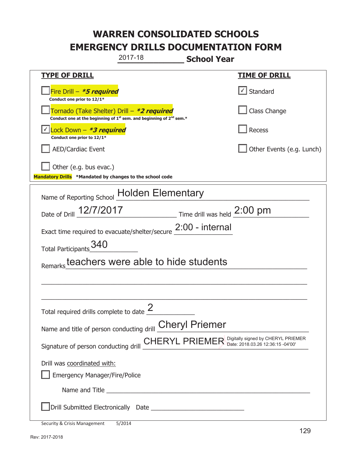|                                                                                        | 2017-18                                                                                                                                                                                                                              | <b>School Year</b>          |                           |
|----------------------------------------------------------------------------------------|--------------------------------------------------------------------------------------------------------------------------------------------------------------------------------------------------------------------------------------|-----------------------------|---------------------------|
| <u>TYPE OF DRILL</u>                                                                   |                                                                                                                                                                                                                                      |                             | <u>TIME OF DRILL</u>      |
| Fire Drill - *5 required<br>Conduct one prior to 12/1*                                 |                                                                                                                                                                                                                                      |                             | Standard                  |
| Tornado (Take Shelter) Drill – *2 required                                             | Conduct one at the beginning of 1 <sup>st</sup> sem. and beginning of 2 <sup>nd</sup> sem.*                                                                                                                                          |                             | Class Change              |
| Lock Down - <b>*3 required</b><br>Conduct one prior to 12/1*                           |                                                                                                                                                                                                                                      |                             | Recess                    |
| <b>AED/Cardiac Event</b>                                                               |                                                                                                                                                                                                                                      |                             | Other Events (e.g. Lunch) |
| Other (e.g. bus evac.)<br>Mandatory Drills *Mandated by changes to the school code     |                                                                                                                                                                                                                                      |                             |                           |
| Name of Reporting School                                                               | <b>Holden Elementary</b>                                                                                                                                                                                                             |                             |                           |
| Date of Drill 12/7/2017                                                                |                                                                                                                                                                                                                                      | Time drill was held 2:00 pm |                           |
| Exact time required to evacuate/shelter/secure                                         |                                                                                                                                                                                                                                      | 2:00 - internal             |                           |
| Total Participants_340                                                                 |                                                                                                                                                                                                                                      |                             |                           |
| Remarks teachers were able to hide students                                            |                                                                                                                                                                                                                                      |                             |                           |
|                                                                                        |                                                                                                                                                                                                                                      |                             |                           |
| Total required drills complete to date $\frac{2}{3}$                                   |                                                                                                                                                                                                                                      |                             |                           |
|                                                                                        |                                                                                                                                                                                                                                      |                             |                           |
| Name and title of person conducting drill Cheryl Priemer                               |                                                                                                                                                                                                                                      |                             |                           |
| Signature of person conducting drill CHERYL PRIEMER Digitally signed by CHERYL PRIEMER |                                                                                                                                                                                                                                      |                             |                           |
| Drill was coordinated with:                                                            |                                                                                                                                                                                                                                      |                             |                           |
| <b>Emergency Manager/Fire/Police</b>                                                   |                                                                                                                                                                                                                                      |                             |                           |
|                                                                                        | Name and Title <b>contract the contract of the contract of the contract of the contract of the contract of the contract of the contract of the contract of the contract of the contract of the contract of the contract of the c</b> |                             |                           |
|                                                                                        |                                                                                                                                                                                                                                      |                             |                           |
| Security & Crisis Management                                                           | 5/2014                                                                                                                                                                                                                               |                             |                           |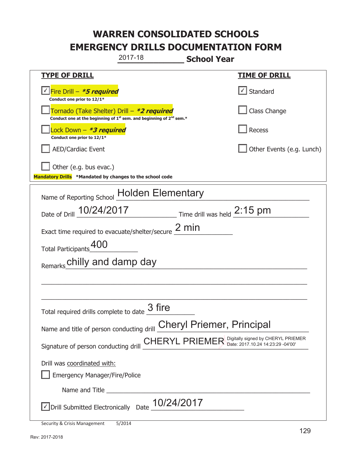|                                                                                    | 2017-18                                                                       | <b>School Year</b>          |                                                                                        |
|------------------------------------------------------------------------------------|-------------------------------------------------------------------------------|-----------------------------|----------------------------------------------------------------------------------------|
| <u>TYPE OF DRILL</u>                                                               |                                                                               |                             | <u>TIME OF DRILL</u>                                                                   |
| <u>√ Fire Drill – <i>*5 required</i></u><br>Conduct one prior to 12/1*             |                                                                               |                             | Standard                                                                               |
| Tornado (Take Shelter) Drill – *2 required                                         | Conduct one at the beginning of $1^{st}$ sem. and beginning of $2^{nd}$ sem.* |                             | Class Change                                                                           |
| Lock Down - *3 required<br>Conduct one prior to 12/1*                              |                                                                               |                             | <b>Recess</b>                                                                          |
| <b>AED/Cardiac Event</b>                                                           |                                                                               |                             | Other Events (e.g. Lunch)                                                              |
| Other (e.g. bus evac.)<br>Mandatory Drills *Mandated by changes to the school code |                                                                               |                             |                                                                                        |
| Name of Reporting School                                                           | <b>Holden Elementary</b>                                                      |                             |                                                                                        |
| Date of Drill 10/24/2017                                                           |                                                                               | Time drill was held 2:15 pm |                                                                                        |
| Exact time required to evacuate/shelter/secure                                     |                                                                               | $2 \text{ min}$             |                                                                                        |
| <b>Total Participants</b>                                                          |                                                                               |                             |                                                                                        |
| Remarks chilly and damp day                                                        |                                                                               |                             |                                                                                        |
|                                                                                    |                                                                               |                             |                                                                                        |
|                                                                                    |                                                                               |                             |                                                                                        |
| Total required drills complete to date $\frac{3}{2}$ fire                          |                                                                               |                             |                                                                                        |
| Name and title of person conducting drill <b>Cheryl Priemer</b> , Principal        |                                                                               |                             |                                                                                        |
|                                                                                    |                                                                               |                             | Signature of person conducting drill CHERYL PRIEMER Digitally signed by CHERYL PRIEMER |
| Drill was coordinated with:                                                        |                                                                               |                             |                                                                                        |
| <b>Emergency Manager/Fire/Police</b>                                               |                                                                               |                             |                                                                                        |
|                                                                                    |                                                                               |                             |                                                                                        |
| √ Drill Submitted Electronically Date                                              | 10/24/2017                                                                    |                             |                                                                                        |
| Security & Crisis Management                                                       | 5/2014                                                                        |                             |                                                                                        |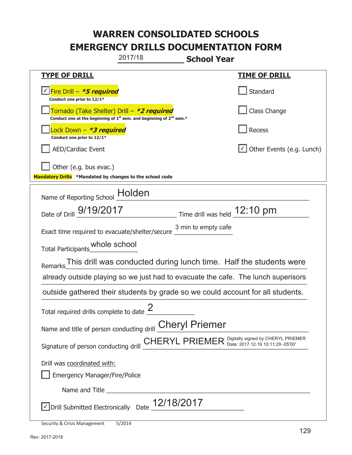|                                                                                    | 2017/18                                                                                                                                                                                                                              | <b>School Year</b>           |                                                                                   |
|------------------------------------------------------------------------------------|--------------------------------------------------------------------------------------------------------------------------------------------------------------------------------------------------------------------------------------|------------------------------|-----------------------------------------------------------------------------------|
| <u>TYPE OF DRILL</u>                                                               |                                                                                                                                                                                                                                      |                              | <b>TIME OF DRILL</b>                                                              |
| Fire Drill - <b>*5 required</b><br>Conduct one prior to 12/1*                      |                                                                                                                                                                                                                                      |                              | Standard                                                                          |
|                                                                                    | Tornado (Take Shelter) Drill – *2 required<br>Conduct one at the beginning of $1^{st}$ sem. and beginning of $2^{nd}$ sem.*                                                                                                          |                              | Class Change                                                                      |
| ock Down – <b>*<i>3 required</i></b><br>Conduct one prior to 12/1*                 |                                                                                                                                                                                                                                      |                              | <b>Recess</b>                                                                     |
| <b>AED/Cardiac Event</b>                                                           |                                                                                                                                                                                                                                      |                              | Other Events (e.g. Lunch)                                                         |
| Other (e.g. bus evac.)<br>Mandatory Drills *Mandated by changes to the school code |                                                                                                                                                                                                                                      |                              |                                                                                   |
| Name of Reporting School                                                           | Holden                                                                                                                                                                                                                               |                              |                                                                                   |
| Date of Drill 9/19/2017                                                            |                                                                                                                                                                                                                                      | Time drill was held 12:10 pm |                                                                                   |
| Exact time required to evacuate/shelter/secure                                     |                                                                                                                                                                                                                                      | 3 min to empty cafe          |                                                                                   |
| Total Participants_whole school                                                    |                                                                                                                                                                                                                                      |                              |                                                                                   |
| Remarks                                                                            |                                                                                                                                                                                                                                      |                              | This drill was conducted during lunch time. Half the students were                |
|                                                                                    |                                                                                                                                                                                                                                      |                              | already outside playing so we just had to evacuate the cafe. The lunch superisors |
|                                                                                    |                                                                                                                                                                                                                                      |                              | outside gathered their students by grade so we could account for all students.    |
| Total required drills complete to date $\leq$                                      | 2                                                                                                                                                                                                                                    |                              |                                                                                   |
| Name and title of person conducting drill <b>Cheryl Priemer</b>                    |                                                                                                                                                                                                                                      |                              |                                                                                   |
| Signature of person conducting drill                                               |                                                                                                                                                                                                                                      |                              | CHERYL PRIEMER Digitally signed by CHERYL PRIEMER                                 |
| Drill was coordinated with:                                                        |                                                                                                                                                                                                                                      |                              |                                                                                   |
| <b>Emergency Manager/Fire/Police</b>                                               |                                                                                                                                                                                                                                      |                              |                                                                                   |
|                                                                                    | Name and Title <b>contract the contract of the service of the contract of the contract of the contract of the contract of the contract of the contract of the contract of the contract of the contract of the contract of the co</b> |                              |                                                                                   |
| $\vee$ Drill Submitted Electronically Date $\_$ 12/18/2017                         |                                                                                                                                                                                                                                      |                              |                                                                                   |
| Security & Crisis Management                                                       | 5/2014                                                                                                                                                                                                                               |                              |                                                                                   |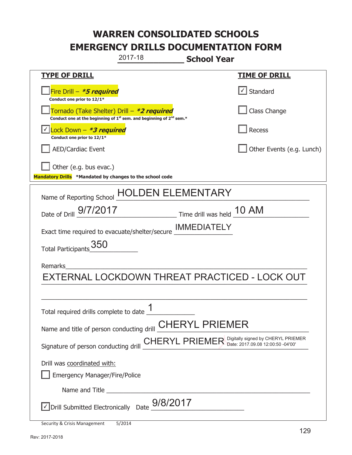| 2017-18<br><b>School Year</b>                                                                                         |                                   |  |  |  |
|-----------------------------------------------------------------------------------------------------------------------|-----------------------------------|--|--|--|
| <b>TYPE OF DRILL</b>                                                                                                  | <b>TIME OF DRILL</b>              |  |  |  |
| Fire Drill - *5 required<br>Conduct one prior to 12/1*                                                                | $\lfloor \angle \rfloor$ Standard |  |  |  |
| Tornado (Take Shelter) Drill – *2 required<br>Conduct one at the beginning of $1st$ sem. and beginning of $2nd$ sem.* | Class Change                      |  |  |  |
| Lock Down – <i>*<b>3 required</b></i><br>Conduct one prior to 12/1*                                                   | Recess                            |  |  |  |
| <b>AED/Cardiac Event</b>                                                                                              | Other Events (e.g. Lunch)         |  |  |  |
| Other (e.g. bus evac.)<br>Mandatory Drills *Mandated by changes to the school code                                    |                                   |  |  |  |
| HOLDEN ELEMENTARY<br>Name of Reporting School                                                                         |                                   |  |  |  |
| Time drill was held 10 AM<br>Date of Drill 9/7/2017                                                                   |                                   |  |  |  |
| Exact time required to evacuate/shelter/secure <b>IMMEDIATELY</b>                                                     |                                   |  |  |  |
| Total Participants 350                                                                                                |                                   |  |  |  |
| Remarks                                                                                                               |                                   |  |  |  |
| EXTERNAL LOCKDOWN THREAT PRACTICED - LOCK OUT                                                                         |                                   |  |  |  |
|                                                                                                                       |                                   |  |  |  |
| 1<br>Total required drills complete to date _                                                                         |                                   |  |  |  |
| Name and title of person conducting drill <b>CHERYL PRIEMER</b>                                                       |                                   |  |  |  |
| Signature of person conducting drill CHERYL PRIEMER Digitally signed by CHERYL PRIEMER                                |                                   |  |  |  |
| Drill was coordinated with:                                                                                           |                                   |  |  |  |
| <b>Emergency Manager/Fire/Police</b>                                                                                  |                                   |  |  |  |
|                                                                                                                       |                                   |  |  |  |
| Drill Submitted Electronically Date $_{-}^{9/8/2017}$                                                                 |                                   |  |  |  |
| Security & Crisis Management<br>5/2014                                                                                |                                   |  |  |  |